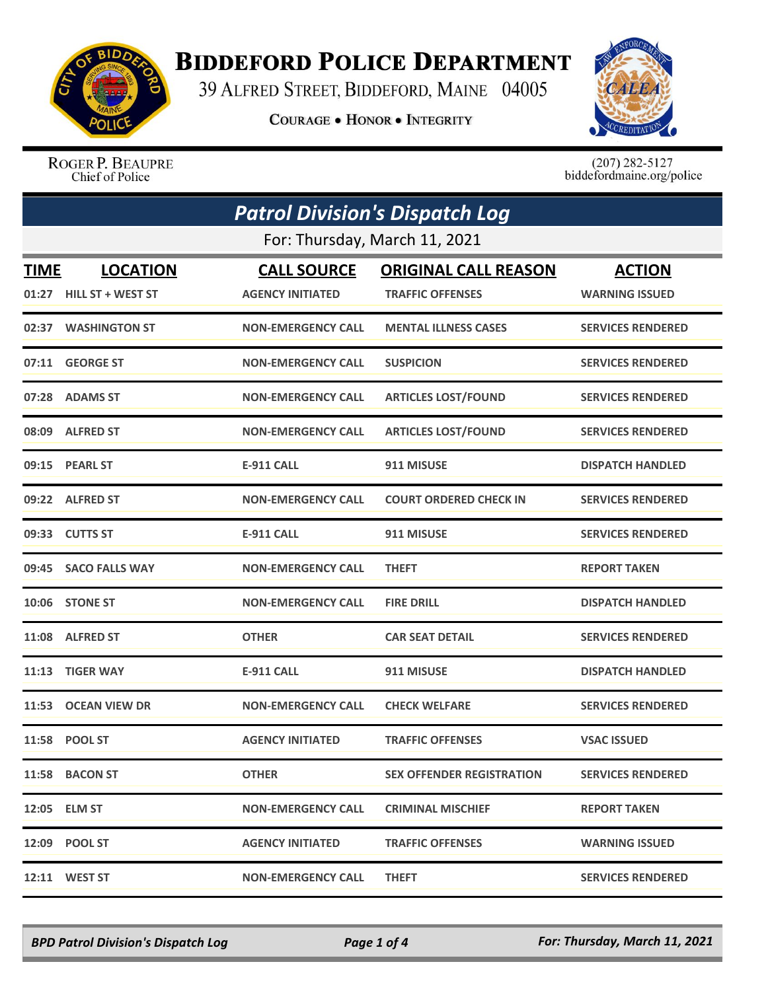

## **BIDDEFORD POLICE DEPARTMENT**

39 ALFRED STREET, BIDDEFORD, MAINE 04005

**COURAGE . HONOR . INTEGRITY** 



ROGER P. BEAUPRE Chief of Police

 $(207)$  282-5127<br>biddefordmaine.org/police

| <b>Patrol Division's Dispatch Log</b> |                               |                           |                                  |                          |  |  |
|---------------------------------------|-------------------------------|---------------------------|----------------------------------|--------------------------|--|--|
|                                       | For: Thursday, March 11, 2021 |                           |                                  |                          |  |  |
| <b>TIME</b>                           | <b>LOCATION</b>               | <b>CALL SOURCE</b>        | <b>ORIGINAL CALL REASON</b>      | <b>ACTION</b>            |  |  |
|                                       | 01:27 HILL ST + WEST ST       | <b>AGENCY INITIATED</b>   | <b>TRAFFIC OFFENSES</b>          | <b>WARNING ISSUED</b>    |  |  |
|                                       | 02:37 WASHINGTON ST           | <b>NON-EMERGENCY CALL</b> | <b>MENTAL ILLNESS CASES</b>      | <b>SERVICES RENDERED</b> |  |  |
| 07:11                                 | <b>GEORGE ST</b>              | <b>NON-EMERGENCY CALL</b> | <b>SUSPICION</b>                 | <b>SERVICES RENDERED</b> |  |  |
|                                       | 07:28 ADAMS ST                | <b>NON-EMERGENCY CALL</b> | <b>ARTICLES LOST/FOUND</b>       | <b>SERVICES RENDERED</b> |  |  |
|                                       | 08:09 ALFRED ST               | <b>NON-EMERGENCY CALL</b> | <b>ARTICLES LOST/FOUND</b>       | <b>SERVICES RENDERED</b> |  |  |
|                                       | 09:15 PEARL ST                | <b>E-911 CALL</b>         | 911 MISUSE                       | <b>DISPATCH HANDLED</b>  |  |  |
|                                       | 09:22 ALFRED ST               | <b>NON-EMERGENCY CALL</b> | <b>COURT ORDERED CHECK IN</b>    | <b>SERVICES RENDERED</b> |  |  |
|                                       | 09:33 CUTTS ST                | <b>E-911 CALL</b>         | 911 MISUSE                       | <b>SERVICES RENDERED</b> |  |  |
|                                       | 09:45 SACO FALLS WAY          | <b>NON-EMERGENCY CALL</b> | <b>THEFT</b>                     | <b>REPORT TAKEN</b>      |  |  |
|                                       | 10:06 STONE ST                | <b>NON-EMERGENCY CALL</b> | <b>FIRE DRILL</b>                | <b>DISPATCH HANDLED</b>  |  |  |
|                                       | 11:08 ALFRED ST               | <b>OTHER</b>              | <b>CAR SEAT DETAIL</b>           | <b>SERVICES RENDERED</b> |  |  |
|                                       | 11:13 TIGER WAY               | <b>E-911 CALL</b>         | 911 MISUSE                       | <b>DISPATCH HANDLED</b>  |  |  |
|                                       | 11:53 OCEAN VIEW DR           | <b>NON-EMERGENCY CALL</b> | <b>CHECK WELFARE</b>             | <b>SERVICES RENDERED</b> |  |  |
|                                       | 11:58 POOL ST                 | <b>AGENCY INITIATED</b>   | <b>TRAFFIC OFFENSES</b>          | <b>VSAC ISSUED</b>       |  |  |
|                                       | 11:58 BACON ST                | <b>OTHER</b>              | <b>SEX OFFENDER REGISTRATION</b> | <b>SERVICES RENDERED</b> |  |  |
|                                       | 12:05 ELM ST                  | <b>NON-EMERGENCY CALL</b> | <b>CRIMINAL MISCHIEF</b>         | <b>REPORT TAKEN</b>      |  |  |
|                                       | 12:09 POOL ST                 | <b>AGENCY INITIATED</b>   | <b>TRAFFIC OFFENSES</b>          | <b>WARNING ISSUED</b>    |  |  |
|                                       | 12:11 WEST ST                 | <b>NON-EMERGENCY CALL</b> | <b>THEFT</b>                     | <b>SERVICES RENDERED</b> |  |  |

*BPD Patrol Division's Dispatch Log Page 1 of 4 For: Thursday, March 11, 2021*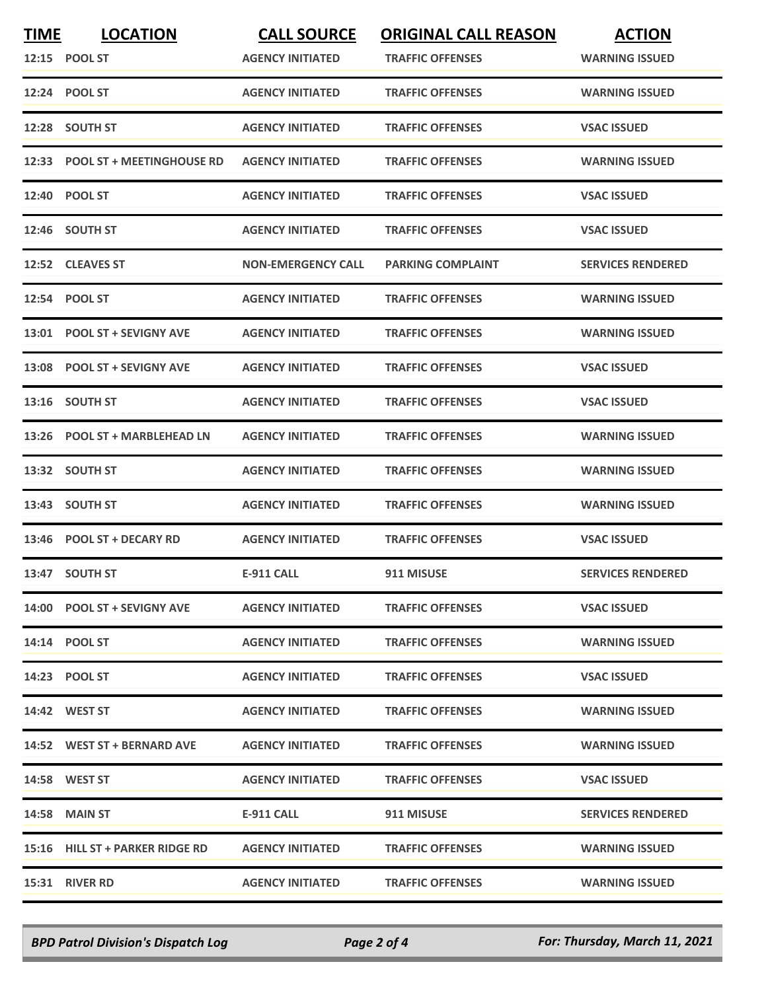| <b>TIME</b> | <b>LOCATION</b><br>12:15 POOL ST | <b>CALL SOURCE</b><br><b>AGENCY INITIATED</b> | <b>ORIGINAL CALL REASON</b><br><b>TRAFFIC OFFENSES</b> | <b>ACTION</b><br><b>WARNING ISSUED</b> |
|-------------|----------------------------------|-----------------------------------------------|--------------------------------------------------------|----------------------------------------|
|             | 12:24 POOL ST                    | <b>AGENCY INITIATED</b>                       | <b>TRAFFIC OFFENSES</b>                                | <b>WARNING ISSUED</b>                  |
|             | 12:28 SOUTH ST                   | <b>AGENCY INITIATED</b>                       | <b>TRAFFIC OFFENSES</b>                                | <b>VSAC ISSUED</b>                     |
|             | 12:33 POOL ST + MEETINGHOUSE RD  | <b>AGENCY INITIATED</b>                       | <b>TRAFFIC OFFENSES</b>                                | <b>WARNING ISSUED</b>                  |
|             | 12:40 POOL ST                    | <b>AGENCY INITIATED</b>                       | <b>TRAFFIC OFFENSES</b>                                | <b>VSAC ISSUED</b>                     |
|             | 12:46 SOUTH ST                   | <b>AGENCY INITIATED</b>                       | <b>TRAFFIC OFFENSES</b>                                | <b>VSAC ISSUED</b>                     |
|             | 12:52 CLEAVES ST                 | <b>NON-EMERGENCY CALL</b>                     | <b>PARKING COMPLAINT</b>                               | <b>SERVICES RENDERED</b>               |
|             | 12:54 POOL ST                    | <b>AGENCY INITIATED</b>                       | <b>TRAFFIC OFFENSES</b>                                | <b>WARNING ISSUED</b>                  |
|             | 13:01 POOL ST + SEVIGNY AVE      | <b>AGENCY INITIATED</b>                       | <b>TRAFFIC OFFENSES</b>                                | <b>WARNING ISSUED</b>                  |
|             | 13:08 POOL ST + SEVIGNY AVE      | <b>AGENCY INITIATED</b>                       | <b>TRAFFIC OFFENSES</b>                                | <b>VSAC ISSUED</b>                     |
|             | 13:16 SOUTH ST                   | <b>AGENCY INITIATED</b>                       | <b>TRAFFIC OFFENSES</b>                                | <b>VSAC ISSUED</b>                     |
|             | 13:26 POOL ST + MARBLEHEAD LN    | <b>AGENCY INITIATED</b>                       | <b>TRAFFIC OFFENSES</b>                                | <b>WARNING ISSUED</b>                  |
|             | 13:32 SOUTH ST                   | <b>AGENCY INITIATED</b>                       | <b>TRAFFIC OFFENSES</b>                                | <b>WARNING ISSUED</b>                  |
| 13:43       | <b>SOUTH ST</b>                  | <b>AGENCY INITIATED</b>                       | <b>TRAFFIC OFFENSES</b>                                | <b>WARNING ISSUED</b>                  |
|             | 13:46 POOL ST + DECARY RD        | <b>AGENCY INITIATED</b>                       | <b>TRAFFIC OFFENSES</b>                                | <b>VSAC ISSUED</b>                     |
|             | 13:47 SOUTH ST                   | <b>E-911 CALL</b>                             | 911 MISUSE                                             | <b>SERVICES RENDERED</b>               |
|             | 14:00 POOL ST + SEVIGNY AVE      | <b>AGENCY INITIATED</b>                       | <b>TRAFFIC OFFENSES</b>                                | <b>VSAC ISSUED</b>                     |
|             | 14:14 POOL ST                    | <b>AGENCY INITIATED</b>                       | <b>TRAFFIC OFFENSES</b>                                | <b>WARNING ISSUED</b>                  |
|             | 14:23 POOL ST                    | <b>AGENCY INITIATED</b>                       | <b>TRAFFIC OFFENSES</b>                                | <b>VSAC ISSUED</b>                     |
|             | 14:42 WEST ST                    | <b>AGENCY INITIATED</b>                       | <b>TRAFFIC OFFENSES</b>                                | <b>WARNING ISSUED</b>                  |
|             | 14:52 WEST ST + BERNARD AVE      | <b>AGENCY INITIATED</b>                       | <b>TRAFFIC OFFENSES</b>                                | <b>WARNING ISSUED</b>                  |
|             | <b>14:58 WEST ST</b>             | <b>AGENCY INITIATED</b>                       | <b>TRAFFIC OFFENSES</b>                                | <b>VSAC ISSUED</b>                     |
|             | 14:58 MAIN ST                    | E-911 CALL                                    | 911 MISUSE                                             | <b>SERVICES RENDERED</b>               |
|             | 15:16 HILL ST + PARKER RIDGE RD  | <b>AGENCY INITIATED</b>                       | <b>TRAFFIC OFFENSES</b>                                | <b>WARNING ISSUED</b>                  |
|             | 15:31 RIVER RD                   | <b>AGENCY INITIATED</b>                       | <b>TRAFFIC OFFENSES</b>                                | <b>WARNING ISSUED</b>                  |

*BPD Patrol Division's Dispatch Log Page 2 of 4 For: Thursday, March 11, 2021*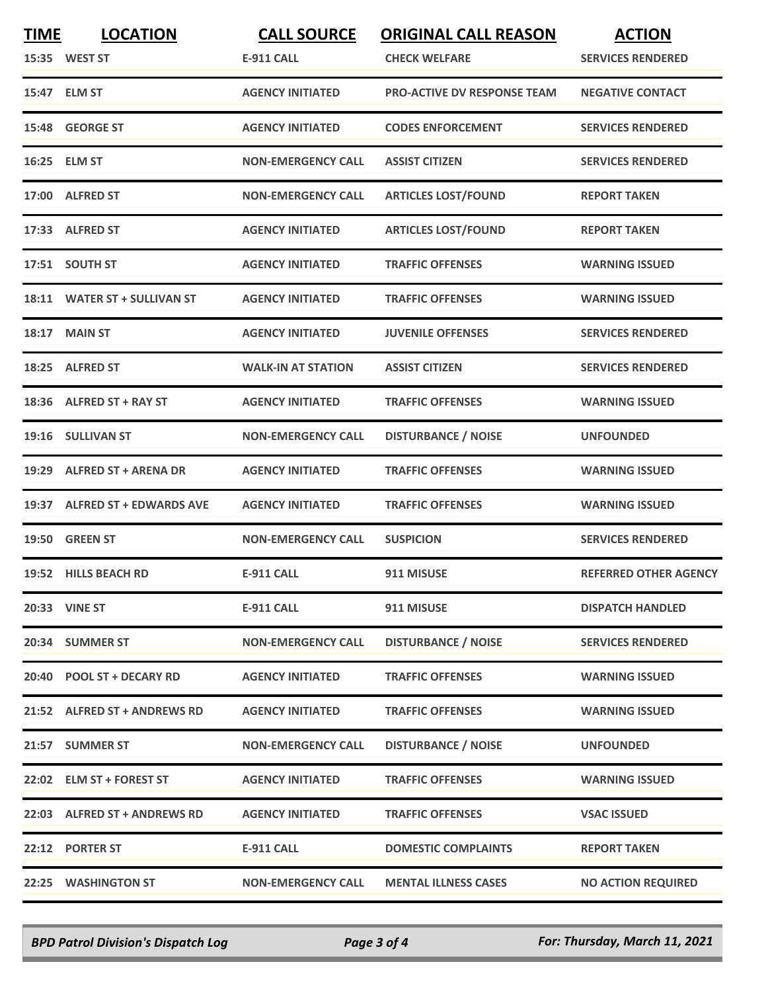| <b>TIME</b> | <b>LOCATION</b><br>15:35 WEST ST | <b>CALL SOURCE</b><br><b>E-911 CALL</b> | <b>ORIGINAL CALL REASON</b><br><b>CHECK WELFARE</b> | <b>ACTION</b><br><b>SERVICES RENDERED</b> |
|-------------|----------------------------------|-----------------------------------------|-----------------------------------------------------|-------------------------------------------|
|             | 15:47 ELM ST                     | <b>AGENCY INITIATED</b>                 | <b>PRO-ACTIVE DV RESPONSE TEAM</b>                  | <b>NEGATIVE CONTACT</b>                   |
|             | 15:48 GEORGE ST                  | <b>AGENCY INITIATED</b>                 | <b>CODES ENFORCEMENT</b>                            | <b>SERVICES RENDERED</b>                  |
|             | 16:25 ELM ST                     | <b>NON-EMERGENCY CALL</b>               | <b>ASSIST CITIZEN</b>                               | <b>SERVICES RENDERED</b>                  |
|             | 17:00 ALFRED ST                  | <b>NON-EMERGENCY CALL</b>               | <b>ARTICLES LOST/FOUND</b>                          | <b>REPORT TAKEN</b>                       |
|             | 17:33 ALFRED ST                  | <b>AGENCY INITIATED</b>                 | <b>ARTICLES LOST/FOUND</b>                          | <b>REPORT TAKEN</b>                       |
|             | 17:51 SOUTH ST                   | <b>AGENCY INITIATED</b>                 | <b>TRAFFIC OFFENSES</b>                             | <b>WARNING ISSUED</b>                     |
|             | 18:11 WATER ST + SULLIVAN ST     | <b>AGENCY INITIATED</b>                 | <b>TRAFFIC OFFENSES</b>                             | <b>WARNING ISSUED</b>                     |
| 18:17       | <b>MAIN ST</b>                   | <b>AGENCY INITIATED</b>                 | <b>JUVENILE OFFENSES</b>                            | <b>SERVICES RENDERED</b>                  |
| 18:25       | <b>ALFRED ST</b>                 | <b>WALK-IN AT STATION</b>               | <b>ASSIST CITIZEN</b>                               | <b>SERVICES RENDERED</b>                  |
|             | 18:36 ALFRED ST + RAY ST         | <b>AGENCY INITIATED</b>                 | <b>TRAFFIC OFFENSES</b>                             | <b>WARNING ISSUED</b>                     |
|             | 19:16 SULLIVAN ST                | <b>NON-EMERGENCY CALL</b>               | <b>DISTURBANCE / NOISE</b>                          | <b>UNFOUNDED</b>                          |
| 19:29       | <b>ALFRED ST + ARENA DR</b>      | <b>AGENCY INITIATED</b>                 | <b>TRAFFIC OFFENSES</b>                             | <b>WARNING ISSUED</b>                     |
| 19:37       | <b>ALFRED ST + EDWARDS AVE</b>   | <b>AGENCY INITIATED</b>                 | <b>TRAFFIC OFFENSES</b>                             | <b>WARNING ISSUED</b>                     |
|             | 19:50 GREEN ST                   | <b>NON-EMERGENCY CALL</b>               | <b>SUSPICION</b>                                    | <b>SERVICES RENDERED</b>                  |
|             | 19:52 HILLS BEACH RD             | <b>E-911 CALL</b>                       | 911 MISUSE                                          | <b>REFERRED OTHER AGENCY</b>              |
|             | <b>20:33 VINE ST</b>             | E-911 CALL                              | 911 MISUSE                                          | <b>DISPATCH HANDLED</b>                   |
|             | 20:34 SUMMER ST                  | <b>NON-EMERGENCY CALL</b>               | <b>DISTURBANCE / NOISE</b>                          | <b>SERVICES RENDERED</b>                  |
|             | 20:40 POOL ST + DECARY RD        | <b>AGENCY INITIATED</b>                 | <b>TRAFFIC OFFENSES</b>                             | <b>WARNING ISSUED</b>                     |
|             | 21:52 ALFRED ST + ANDREWS RD     | <b>AGENCY INITIATED</b>                 | <b>TRAFFIC OFFENSES</b>                             | <b>WARNING ISSUED</b>                     |
|             | 21:57 SUMMER ST                  | <b>NON-EMERGENCY CALL</b>               | <b>DISTURBANCE / NOISE</b>                          | <b>UNFOUNDED</b>                          |
|             | 22:02 ELM ST + FOREST ST         | <b>AGENCY INITIATED</b>                 | <b>TRAFFIC OFFENSES</b>                             | <b>WARNING ISSUED</b>                     |
|             | 22:03 ALFRED ST + ANDREWS RD     | <b>AGENCY INITIATED</b>                 | <b>TRAFFIC OFFENSES</b>                             | <b>VSAC ISSUED</b>                        |
|             | 22:12 PORTER ST                  | <b>E-911 CALL</b>                       | <b>DOMESTIC COMPLAINTS</b>                          | <b>REPORT TAKEN</b>                       |
|             | 22:25 WASHINGTON ST              | <b>NON-EMERGENCY CALL</b>               | <b>MENTAL ILLNESS CASES</b>                         | <b>NO ACTION REQUIRED</b>                 |

*BPD Patrol Division's Dispatch Log Page 3 of 4 For: Thursday, March 11, 2021*